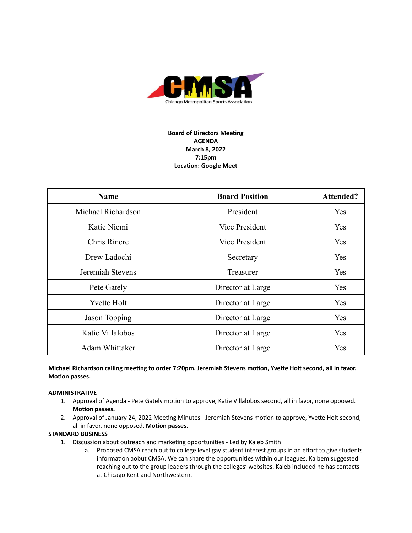

# **Board of Directors Meeting AGENDA March 8, 2022 7:15pm Location: Google Meet**

| <b>Name</b>        | <b>Board Position</b> | <b>Attended?</b> |
|--------------------|-----------------------|------------------|
| Michael Richardson | President             | Yes              |
| Katie Niemi        | <b>Vice President</b> | Yes              |
| Chris Rinere       | <b>Vice President</b> | Yes              |
| Drew Ladochi       | Secretary             | Yes              |
| Jeremiah Stevens   | Treasurer             | Yes              |
| Pete Gately        | Director at Large     | Yes              |
| <b>Yvette Holt</b> | Director at Large     | Yes              |
| Jason Topping      | Director at Large     | Yes              |
| Katie Villalobos   | Director at Large     | Yes              |
| Adam Whittaker     | Director at Large     | <b>Yes</b>       |

## **Michael Richardson calling meeng to order 7:20pm. Jeremiah Stevens moon, Yvee Holt second, all in favor. Motion passes.**

### **ADMINISTRATIVE**

- 1. Approval of Agenda Pete Gately motion to approve, Katie Villalobos second, all in favor, none opposed. **Motion** passes.
- 2. Approval of January 24, 2022 Meeting Minutes Jeremiah Stevens motion to approve, Yvette Holt second, all in favor, none opposed. Motion passes.

### **STANDARD BUSINESS**

- 1. Discussion about outreach and marketing opportunities Led by Kaleb Smith
	- a. Proposed CMSA reach out to college level gay student interest groups in an effort to give students information aobut CMSA. We can share the opportunities within our leagues. Kalbem suggested reaching out to the group leaders through the colleges' websites. Kaleb included he has contacts at Chicago Kent and Northwestern.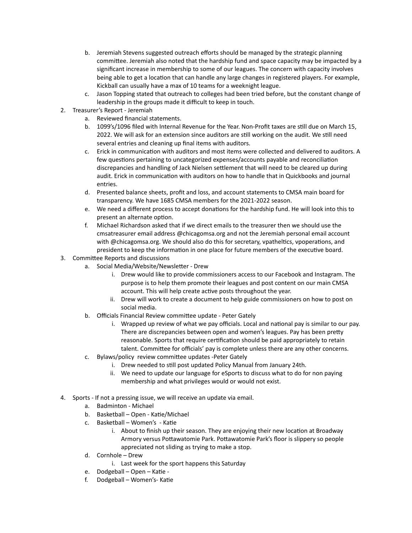- b. Jeremiah Stevens suggested outreach efforts should be managed by the strategic planning committee. Jeremiah also noted that the hardship fund and space capacity may be impacted by a significant increase in membership to some of our leagues. The concern with capacity involves being able to get a location that can handle any large changes in registered players. For example, Kickball can usually have a max of 10 teams for a weeknight league.
- c. Jason Topping stated that outreach to colleges had been tried before, but the constant change of leadership in the groups made it difficult to keep in touch.
- 2. Treasurer's Report Jeremiah
	- a. Reviewed financial statements.
	- b. 1099's/1096 filed with Internal Revenue for the Year. Non-Profit taxes are still due on March 15, 2022. We will ask for an extension since auditors are still working on the audit. We still need several entries and cleaning up final items with auditors.
	- c. Erick in communication with auditors and most items were collected and delivered to auditors. A few questions pertaining to uncategorized expenses/accounts payable and reconciliation discrepancies and handling of Jack Nielsen settlement that will need to be cleared up during audit. Erick in communication with auditors on how to handle that in Quickbooks and journal entries.
	- d. Presented balance sheets, profit and loss, and account statements to CMSA main board for transparency. We have 1685 CMSA members for the 2021-2022 season.
	- e. We need a different process to accept donations for the hardship fund. He will look into this to present an alternate option.
	- f. Michael Richardson asked that if we direct emails to the treasurer then we should use the cmsatreasurer email address @chicagomsa.org and not the Jeremiah personal email account with  $@chicagomsa.org.$  We should also do this for secretary, vpatheltics, vpoperations, and president to keep the information in one place for future members of the executive board.
- 3. Committee Reports and discussions
	- a. Social Media/Website/Newsletter Drew
		- i. Drew would like to provide commissioners access to our Facebook and Instagram. The purpose is to help them promote their leagues and post content on our main CMSA account. This will help create active posts throughout the year.
		- ii. Drew will work to create a document to help guide commissioners on how to post on social media.
	- b. Officials Financial Review committee update Peter Gately
		- i. Wrapped up review of what we pay officials. Local and national pay is similar to our pay. There are discrepancies between open and women's leagues. Pay has been pretty reasonable. Sports that require certification should be paid appropriately to retain talent. Committee for officials' pay is complete unless there are any other concerns.
	- c. Bylaws/policy review committee updates -Peter Gately
		- i. Drew needed to still post updated Policy Manual from January 24th.
		- ii. We need to update our language for eSports to discuss what to do for non paying membership and what privileges would or would not exist.
- 4. Sports If not a pressing issue, we will receive an update via email.
	- a. Badminton Michael
	- b. Basketball Open Katie/Michael
	- c. Basketball Women's Katie
		- i. About to finish up their season. They are enjoying their new location at Broadway Armory versus Pottawatomie Park. Pottawatomie Park's floor is slippery so people appreciated not sliding as trying to make a stop.
	- d. Cornhole Drew
		- i. Last week for the sport happens this Saturday
	- e. Dodgeball Open Katie -
	- f. Dodgeball Women's- Katie